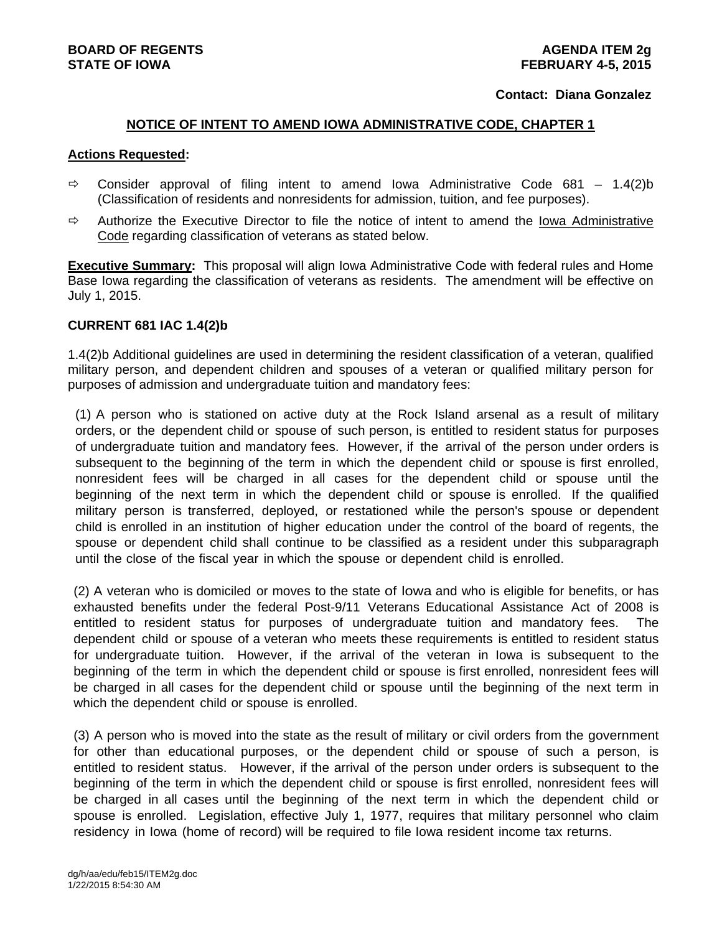### **Contact: Diana Gonzalez**

## **NOTICE OF INTENT TO AMEND IOWA ADMINISTRATIVE CODE, CHAPTER 1**

### **Actions Requested:**

- $\Rightarrow$  Consider approval of filing intent to amend Iowa Administrative Code 681 1.4(2)b (Classification of residents and nonresidents for admission, tuition, and fee purposes).
- $\Rightarrow$  Authorize the Executive Director to file the notice of intent to amend the Iowa Administrative Code regarding classification of veterans as stated below.

**Executive Summary:** This proposal will align Iowa Administrative Code with federal rules and Home Base Iowa regarding the classification of veterans as residents. The amendment will be effective on July 1, 2015.

## **CURRENT 681 IAC 1.4(2)b**

1.4(2)b Additional guidelines are used in determining the resident classification of a veteran, qualified military person, and dependent children and spouses of a veteran or qualified military person for purposes of admission and undergraduate tuition and mandatory fees:

(1) A person who is stationed on active duty at the Rock Island arsenal as a result of military orders, or the dependent child or spouse of such person, is entitled to resident status for purposes of undergraduate tuition and mandatory fees. However, if the arrival of the person under orders is subsequent to the beginning of the term in which the dependent child or spouse is first enrolled, nonresident fees will be charged in all cases for the dependent child or spouse until the beginning of the next term in which the dependent child or spouse is enrolled. If the qualified military person is transferred, deployed, or restationed while the person's spouse or dependent child is enrolled in an institution of higher education under the control of the board of regents, the spouse or dependent child shall continue to be classified as a resident under this subparagraph until the close of the fiscal year in which the spouse or dependent child is enrolled.

(2) A veteran who is domiciled or moves to the state of lowa and who is eligible for benefits, or has exhausted benefits under the federal Post-9/11 Veterans Educational Assistance Act of 2008 is entitled to resident status for purposes of undergraduate tuition and mandatory fees. The dependent child or spouse of a veteran who meets these requirements is entitled to resident status for undergraduate tuition. However, if the arrival of the veteran in Iowa is subsequent to the beginning of the term in which the dependent child or spouse is first enrolled, nonresident fees will be charged in all cases for the dependent child or spouse until the beginning of the next term in which the dependent child or spouse is enrolled.

(3) A person who is moved into the state as the result of military or civil orders from the government for other than educational purposes, or the dependent child or spouse of such a person, is entitled to resident status. However, if the arrival of the person under orders is subsequent to the beginning of the term in which the dependent child or spouse is first enrolled, nonresident fees will be charged in all cases until the beginning of the next term in which the dependent child or spouse is enrolled. Legislation, effective July 1, 1977, requires that military personnel who claim residency in Iowa (home of record) will be required to file Iowa resident income tax returns.